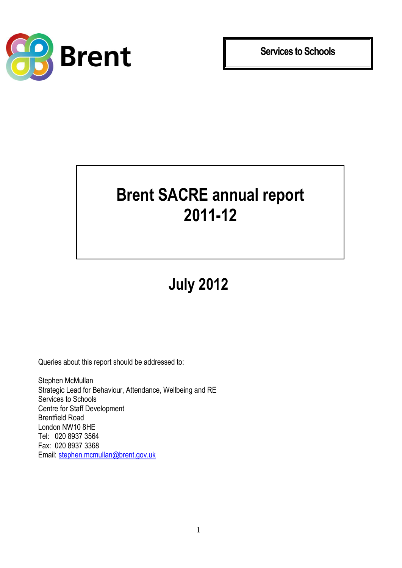

**Services to Schools**

## **Brent SACRE annual report 2011-12**

**July 2012**

Queries about this report should be addressed to:

Stephen McMullan Strategic Lead for Behaviour, Attendance, Wellbeing and RE Services to Schools Centre for Staff Development Brentfield Road London NW10 8HE Tel: 020 8937 3564 Fax: 020 8937 3368 Email: [stephen.mcmullan@brent.gov.uk](mailto:stephen.mcmullan@brent.gov.uk)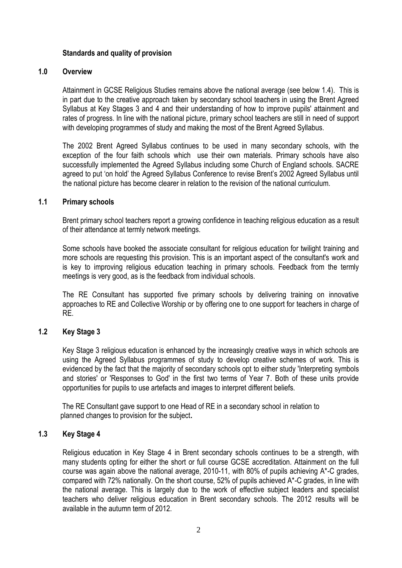### **Standards and quality of provision**

### **1.0 Overview**

Attainment in GCSE Religious Studies remains above the national average (see below 1.4). This is in part due to the creative approach taken by secondary school teachers in using the Brent Agreed Syllabus at Key Stages 3 and 4 and their understanding of how to improve pupils' attainment and rates of progress. In line with the national picture, primary school teachers are still in need of support with developing programmes of study and making the most of the Brent Agreed Syllabus.

The 2002 Brent Agreed Syllabus continues to be used in many secondary schools, with the exception of the four faith schools which use their own materials. Primary schools have also successfully implemented the Agreed Syllabus including some Church of England schools. SACRE agreed to put 'on hold' the Agreed Syllabus Conference to revise Brent's 2002 Agreed Syllabus until the national picture has become clearer in relation to the revision of the national curriculum.

#### **1.1 Primary schools**

Brent primary school teachers report a growing confidence in teaching religious education as a result of their attendance at termly network meetings.

Some schools have booked the associate consultant for religious education for twilight training and more schools are requesting this provision. This is an important aspect of the consultant's work and is key to improving religious education teaching in primary schools. Feedback from the termly meetings is very good, as is the feedback from individual schools.

The RE Consultant has supported five primary schools by delivering training on innovative approaches to RE and Collective Worship or by offering one to one support for teachers in charge of RE.

### **1.2 Key Stage 3**

Key Stage 3 religious education is enhanced by the increasingly creative ways in which schools are using the Agreed Syllabus programmes of study to develop creative schemes of work. This is evidenced by the fact that the majority of secondary schools opt to either study 'Interpreting symbols and stories' or 'Responses to God' in the first two terms of Year 7. Both of these units provide opportunities for pupils to use artefacts and images to interpret different beliefs.

 The RE Consultant gave support to one Head of RE in a secondary school in relation to planned changes to provision for the subject**.**

### **1.3 Key Stage 4**

Religious education in Key Stage 4 in Brent secondary schools continues to be a strength, with many students opting for either the short or full course GCSE accreditation. Attainment on the full course was again above the national average, 2010-11, with 80% of pupils achieving A\*-C grades, compared with 72% nationally. On the short course, 52% of pupils achieved A\*-C grades, in line with the national average. This is largely due to the work of effective subject leaders and specialist teachers who deliver religious education in Brent secondary schools. The 2012 results will be available in the autumn term of 2012.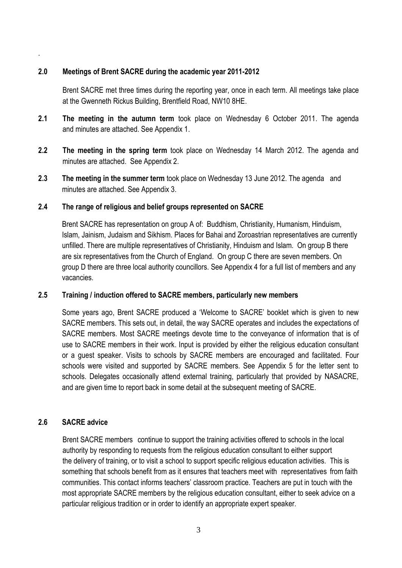### **2.0 Meetings of Brent SACRE during the academic year 2011-2012**

Brent SACRE met three times during the reporting year, once in each term. All meetings take place at the Gwenneth Rickus Building, Brentfield Road, NW10 8HE.

- **2.1 The meeting in the autumn term** took place on Wednesday 6 October 2011. The agenda and minutes are attached. See Appendix 1.
- **2.2 The meeting in the spring term** took place on Wednesday 14 March 2012. The agenda and minutes are attached. See Appendix 2.
- **2.3 The meeting in the summer term** took place on Wednesday 13 June 2012. The agenda and minutes are attached. See Appendix 3.

#### **2.4 The range of religious and belief groups represented on SACRE**

Brent SACRE has representation on group A of: Buddhism, Christianity, Humanism, Hinduism, Islam, Jainism, Judaism and Sikhism. Places for Bahai and Zoroastrian representatives are currently unfilled. There are multiple representatives of Christianity, Hinduism and Islam. On group B there are six representatives from the Church of England. On group C there are seven members. On group D there are three local authority councillors. See Appendix 4 for a full list of members and any vacancies.

### **2.5 Training / induction offered to SACRE members, particularly new members**

Some years ago, Brent SACRE produced a 'Welcome to SACRE' booklet which is given to new SACRE members. This sets out, in detail, the way SACRE operates and includes the expectations of SACRE members. Most SACRE meetings devote time to the conveyance of information that is of use to SACRE members in their work. Input is provided by either the religious education consultant or a guest speaker. Visits to schools by SACRE members are encouraged and facilitated. Four schools were visited and supported by SACRE members. See Appendix 5 for the letter sent to schools. Delegates occasionally attend external training, particularly that provided by NASACRE, and are given time to report back in some detail at the subsequent meeting of SACRE.

### **2.6 SACRE advice**

.

Brent SACRE members continue to support the training activities offered to schools in the local authority by responding to requests from the religious education consultant to either support the delivery of training, or to visit a school to support specific religious education activities. This is something that schools benefit from as it ensures that teachers meet with representatives from faith communities. This contact informs teachers' classroom practice. Teachers are put in touch with the most appropriate SACRE members by the religious education consultant, either to seek advice on a particular religious tradition or in order to identify an appropriate expert speaker.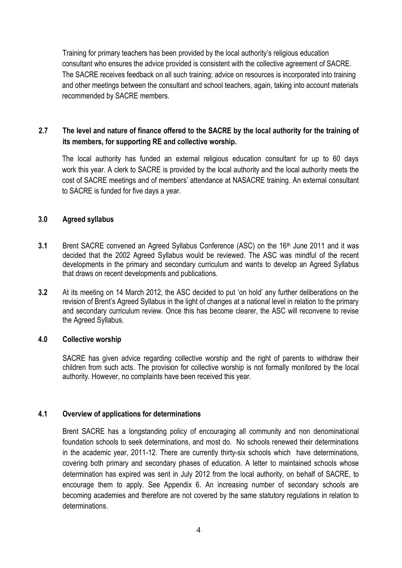Training for primary teachers has been provided by the local authority's religious education consultant who ensures the advice provided is consistent with the collective agreement of SACRE. The SACRE receives feedback on all such training; advice on resources is incorporated into training and other meetings between the consultant and school teachers, again, taking into account materials recommended by SACRE members.

### **2.7 The level and nature of finance offered to the SACRE by the local authority for the training of its members, for supporting RE and collective worship.**

The local authority has funded an external religious education consultant for up to 60 days work this year. A clerk to SACRE is provided by the local authority and the local authority meets the cost of SACRE meetings and of members' attendance at NASACRE training. An external consultant to SACRE is funded for five days a year.

### **3.0 Agreed syllabus**

- **3.1** Brent SACRE convened an Agreed Syllabus Conference (ASC) on the 16<sup>th</sup> June 2011 and it was decided that the 2002 Agreed Syllabus would be reviewed. The ASC was mindful of the recent developments in the primary and secondary curriculum and wants to develop an Agreed Syllabus that draws on recent developments and publications.
- **3.2** At its meeting on 14 March 2012, the ASC decided to put 'on hold' any further deliberations on the revision of Brent's Agreed Syllabus in the light of changes at a national level in relation to the primary and secondary curriculum review. Once this has become clearer, the ASC will reconvene to revise the Agreed Syllabus.

### **4.0 Collective worship**

SACRE has given advice regarding collective worship and the right of parents to withdraw their children from such acts. The provision for collective worship is not formally monitored by the local authority. However, no complaints have been received this year.

### **4.1 Overview of applications for determinations**

Brent SACRE has a longstanding policy of encouraging all community and non denominational foundation schools to seek determinations, and most do. No schools renewed their determinations in the academic year, 2011-12. There are currently thirty-six schools which have determinations, covering both primary and secondary phases of education. A letter to maintained schools whose determination has expired was sent in July 2012 from the local authority, on behalf of SACRE, to encourage them to apply. See Appendix 6. An increasing number of secondary schools are becoming academies and therefore are not covered by the same statutory regulations in relation to determinations.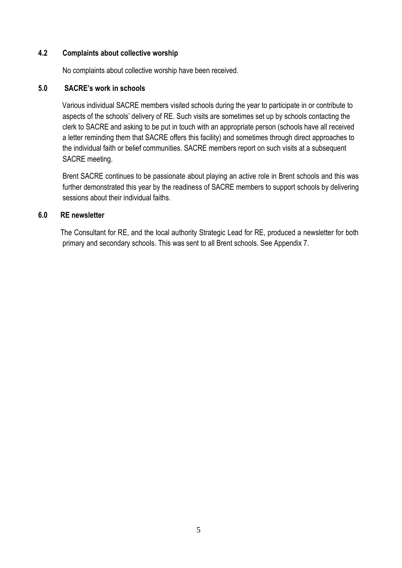### **4.2 Complaints about collective worship**

No complaints about collective worship have been received.

### **5.0 SACRE's work in schools**

 Various individual SACRE members visited schools during the year to participate in or contribute to aspects of the schools' delivery of RE. Such visits are sometimes set up by schools contacting the clerk to SACRE and asking to be put in touch with an appropriate person (schools have all received a letter reminding them that SACRE offers this facility) and sometimes through direct approaches to the individual faith or belief communities. SACRE members report on such visits at a subsequent SACRE meeting.

Brent SACRE continues to be passionate about playing an active role in Brent schools and this was further demonstrated this year by the readiness of SACRE members to support schools by delivering sessions about their individual faiths.

### **6.0 RE newsletter**

 The Consultant for RE, and the local authority Strategic Lead for RE, produced a newsletter for both primary and secondary schools. This was sent to all Brent schools. See Appendix 7.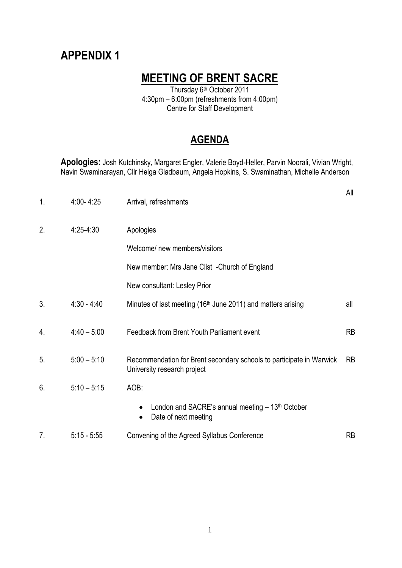## **MEETING OF BRENT SACRE**

Thursday 6th October 2011 4:30pm – 6:00pm (refreshments from 4:00pm) Centre for Staff Development

### **AGENDA**

**Apologies:** Josh Kutchinsky, Margaret Engler, Valerie Boyd-Heller, Parvin Noorali, Vivian Wright, Navin Swaminarayan, Cllr Helga Gladbaum, Angela Hopkins, S. Swaminathan, Michelle Anderson

| 1. | $4:00 - 4:25$ | Arrival, refreshments                                                                               | All       |
|----|---------------|-----------------------------------------------------------------------------------------------------|-----------|
| 2. | $4:25-4:30$   | Apologies                                                                                           |           |
|    |               | Welcome/ new members/visitors                                                                       |           |
|    |               | New member: Mrs Jane Clist - Church of England                                                      |           |
|    |               | New consultant: Lesley Prior                                                                        |           |
| 3. | $4:30 - 4:40$ | Minutes of last meeting (16 <sup>th</sup> June 2011) and matters arising                            | all       |
| 4. | $4:40 - 5:00$ | Feedback from Brent Youth Parliament event                                                          | <b>RB</b> |
| 5. | $5:00 - 5:10$ | Recommendation for Brent secondary schools to participate in Warwick<br>University research project | <b>RB</b> |
| 6. | $5:10 - 5:15$ | AOB:                                                                                                |           |
|    |               | London and SACRE's annual meeting $-13th$ October<br>Date of next meeting<br>$\bullet$              |           |
| 7. | $5:15 - 5:55$ | Convening of the Agreed Syllabus Conference                                                         | <b>RB</b> |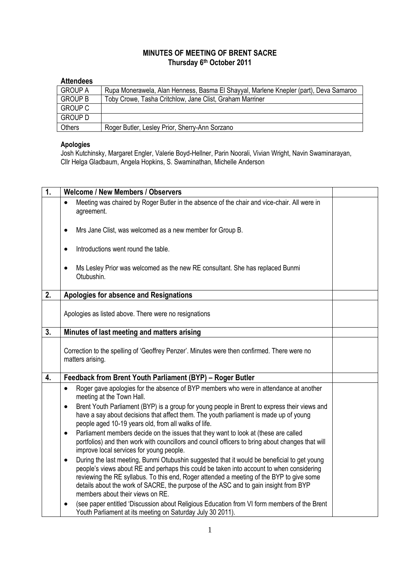### **MINUTES OF MEETING OF BRENT SACRE Thursday 6th October 2011**

### **Attendees**

| <b>GROUP A</b> | Rupa Monerawela, Alan Henness, Basma El Shayyal, Marlene Knepler (part), Deva Samaroo |
|----------------|---------------------------------------------------------------------------------------|
| <b>GROUP B</b> | Toby Crowe, Tasha Critchlow, Jane Clist, Graham Marriner                              |
| <b>GROUP C</b> |                                                                                       |
| <b>GROUP D</b> |                                                                                       |
| <b>Others</b>  | Roger Butler, Lesley Prior, Sherry-Ann Sorzano                                        |

#### **Apologies**

Josh Kutchinsky, Margaret Engler, Valerie Boyd-Hellner, Parin Noorali, Vivian Wright, Navin Swaminarayan, Cllr Helga Gladbaum, Angela Hopkins, S. Swaminathan, Michelle Anderson

| 1. | <b>Welcome / New Members / Observers</b>                                                                                                                                                                                                                                                                                                                                                                                     |  |
|----|------------------------------------------------------------------------------------------------------------------------------------------------------------------------------------------------------------------------------------------------------------------------------------------------------------------------------------------------------------------------------------------------------------------------------|--|
|    | Meeting was chaired by Roger Butler in the absence of the chair and vice-chair. All were in<br>agreement.                                                                                                                                                                                                                                                                                                                    |  |
|    | Mrs Jane Clist, was welcomed as a new member for Group B.<br>$\bullet$                                                                                                                                                                                                                                                                                                                                                       |  |
|    | Introductions went round the table.<br>$\bullet$                                                                                                                                                                                                                                                                                                                                                                             |  |
|    | Ms Lesley Prior was welcomed as the new RE consultant. She has replaced Bunmi<br>$\bullet$<br>Otubushin.                                                                                                                                                                                                                                                                                                                     |  |
| 2. | Apologies for absence and Resignations                                                                                                                                                                                                                                                                                                                                                                                       |  |
|    | Apologies as listed above. There were no resignations                                                                                                                                                                                                                                                                                                                                                                        |  |
| 3. | Minutes of last meeting and matters arising                                                                                                                                                                                                                                                                                                                                                                                  |  |
|    | Correction to the spelling of 'Geoffrey Penzer'. Minutes were then confirmed. There were no<br>matters arising.                                                                                                                                                                                                                                                                                                              |  |
| 4. | Feedback from Brent Youth Parliament (BYP) - Roger Butler                                                                                                                                                                                                                                                                                                                                                                    |  |
|    | Roger gave apologies for the absence of BYP members who were in attendance at another<br>$\bullet$<br>meeting at the Town Hall.<br>Brent Youth Parliament (BYP) is a group for young people in Brent to express their views and<br>$\bullet$                                                                                                                                                                                 |  |
|    | have a say about decisions that affect them. The youth parliament is made up of young<br>people aged 10-19 years old, from all walks of life.                                                                                                                                                                                                                                                                                |  |
|    | Parliament members decide on the issues that they want to look at (these are called<br>$\bullet$<br>portfolios) and then work with councillors and council officers to bring about changes that will<br>improve local services for young people.                                                                                                                                                                             |  |
|    | During the last meeting, Bunmi Otubushin suggested that it would be beneficial to get young<br>$\bullet$<br>people's views about RE and perhaps this could be taken into account to when considering<br>reviewing the RE syllabus. To this end, Roger attended a meeting of the BYP to give some<br>details about the work of SACRE, the purpose of the ASC and to gain insight from BYP<br>members about their views on RE. |  |
|    | (see paper entitled 'Discussion about Religious Education from VI form members of the Brent<br>$\bullet$<br>Youth Parliament at its meeting on Saturday July 30 2011).                                                                                                                                                                                                                                                       |  |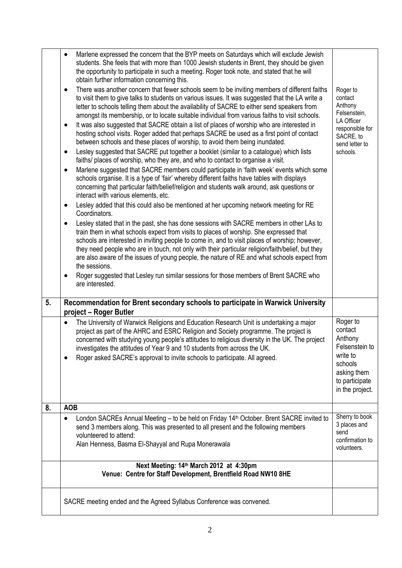|    | Marlene expressed the concern that the BYP meets on Saturdays which will exclude Jewish<br>$\bullet$<br>students. She feels that with more than 1000 Jewish students in Brent, they should be given<br>the opportunity to participate in such a meeting. Roger took note, and stated that he will<br>obtain further information concerning this.<br>There was another concern that fewer schools seem to be inviting members of different faiths<br>$\bullet$<br>to visit them to give talks to students on various issues. It was suggested that the LA write a<br>letter to schools telling them about the availability of SACRE to either send speakers from<br>amongst its membership, or to locate suitable individual from various faiths to visit schools.<br>It was also suggested that SACRE obtain a list of places of worship who are interested in<br>$\bullet$<br>hosting school visits. Roger added that perhaps SACRE be used as a first point of contact<br>between schools and these places of worship, to avoid them being inundated.<br>Lesley suggested that SACRE put together a booklet (similar to a catalogue) which lists<br>$\bullet$<br>faiths/ places of worship, who they are, and who to contact to organise a visit.<br>Marlene suggested that SACRE members could participate in 'faith week' events which some<br>٠<br>schools organise. It is a type of 'fair' whereby different faiths have tables with displays<br>concerning that particular faith/belief/religion and students walk around, ask questions or<br>interact with various elements, etc.<br>Lesley added that this could also be mentioned at her upcoming network meeting for RE<br>٠<br>Coordinators.<br>Lesley stated that in the past, she has done sessions with SACRE members in other LAs to<br>٠<br>train them in what schools expect from visits to places of worship. She expressed that<br>schools are interested in inviting people to come in, and to visit places of worship; however,<br>they need people who are in touch, not only with their particular religion/faith/belief, but they<br>are also aware of the issues of young people, the nature of RE and what schools expect from<br>the sessions.<br>Roger suggested that Lesley run similar sessions for those members of Brent SACRE who<br>are interested. | Roger to<br>contact<br>Anthony<br>Felsenstein,<br>LA Officer<br>responsible for<br>SACRE, to<br>send letter to<br>schools.  |
|----|-----------------------------------------------------------------------------------------------------------------------------------------------------------------------------------------------------------------------------------------------------------------------------------------------------------------------------------------------------------------------------------------------------------------------------------------------------------------------------------------------------------------------------------------------------------------------------------------------------------------------------------------------------------------------------------------------------------------------------------------------------------------------------------------------------------------------------------------------------------------------------------------------------------------------------------------------------------------------------------------------------------------------------------------------------------------------------------------------------------------------------------------------------------------------------------------------------------------------------------------------------------------------------------------------------------------------------------------------------------------------------------------------------------------------------------------------------------------------------------------------------------------------------------------------------------------------------------------------------------------------------------------------------------------------------------------------------------------------------------------------------------------------------------------------------------------------------------------------------------------------------------------------------------------------------------------------------------------------------------------------------------------------------------------------------------------------------------------------------------------------------------------------------------------------------------------------------------------------------------------------------------------------------------------------------------------------------------------|-----------------------------------------------------------------------------------------------------------------------------|
| 5. | Recommendation for Brent secondary schools to participate in Warwick University                                                                                                                                                                                                                                                                                                                                                                                                                                                                                                                                                                                                                                                                                                                                                                                                                                                                                                                                                                                                                                                                                                                                                                                                                                                                                                                                                                                                                                                                                                                                                                                                                                                                                                                                                                                                                                                                                                                                                                                                                                                                                                                                                                                                                                                         |                                                                                                                             |
|    | project - Roger Butler<br>The University of Warwick Religions and Education Research Unit is undertaking a major<br>$\bullet$<br>project as part of the AHRC and ESRC Religion and Society programme. The project is<br>concerned with studying young people's attitudes to religious diversity in the UK. The project<br>investigates the attitudes of Year 9 and 10 students from across the UK.<br>Roger asked SACRE's approval to invite schools to participate. All agreed.                                                                                                                                                                                                                                                                                                                                                                                                                                                                                                                                                                                                                                                                                                                                                                                                                                                                                                                                                                                                                                                                                                                                                                                                                                                                                                                                                                                                                                                                                                                                                                                                                                                                                                                                                                                                                                                        | Roger to<br>contact<br>Anthony<br>Felsenstein to<br>write to<br>schools<br>asking them<br>to participate<br>in the project. |
| 8. | <b>AOB</b>                                                                                                                                                                                                                                                                                                                                                                                                                                                                                                                                                                                                                                                                                                                                                                                                                                                                                                                                                                                                                                                                                                                                                                                                                                                                                                                                                                                                                                                                                                                                                                                                                                                                                                                                                                                                                                                                                                                                                                                                                                                                                                                                                                                                                                                                                                                              |                                                                                                                             |
|    | London SACREs Annual Meeting - to be held on Friday 14 <sup>th</sup> October. Brent SACRE invited to<br>٠<br>send 3 members along. This was presented to all present and the following members<br>volunteered to attend:<br>Alan Henness, Basma El-Shayyal and Rupa Monerawala                                                                                                                                                                                                                                                                                                                                                                                                                                                                                                                                                                                                                                                                                                                                                                                                                                                                                                                                                                                                                                                                                                                                                                                                                                                                                                                                                                                                                                                                                                                                                                                                                                                                                                                                                                                                                                                                                                                                                                                                                                                          | Sherry to book<br>3 places and<br>send<br>confirmation to<br>volunteers.                                                    |
|    | Next Meeting: 14th March 2012 at 4:30pm<br>Venue: Centre for Staff Development, Brentfield Road NW10 8HE                                                                                                                                                                                                                                                                                                                                                                                                                                                                                                                                                                                                                                                                                                                                                                                                                                                                                                                                                                                                                                                                                                                                                                                                                                                                                                                                                                                                                                                                                                                                                                                                                                                                                                                                                                                                                                                                                                                                                                                                                                                                                                                                                                                                                                |                                                                                                                             |
|    | SACRE meeting ended and the Agreed Syllabus Conference was convened.                                                                                                                                                                                                                                                                                                                                                                                                                                                                                                                                                                                                                                                                                                                                                                                                                                                                                                                                                                                                                                                                                                                                                                                                                                                                                                                                                                                                                                                                                                                                                                                                                                                                                                                                                                                                                                                                                                                                                                                                                                                                                                                                                                                                                                                                    |                                                                                                                             |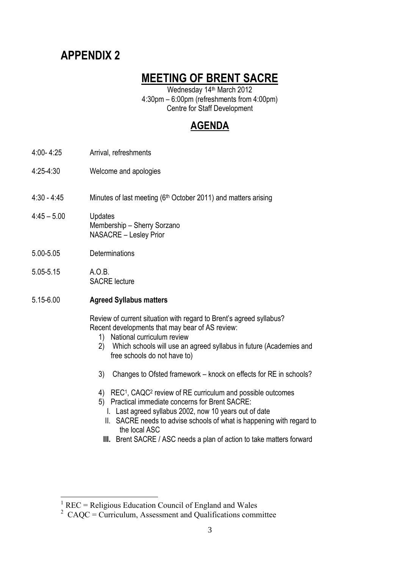## **MEETING OF BRENT SACRE**

Wednesday 14th March 2012 4:30pm – 6:00pm (refreshments from 4:00pm) Centre for Staff Development

## **AGENDA**

- 4:00- 4:25 Arrival, refreshments
- 4:25-4:30 Welcome and apologies

4:30 - 4:45 Minutes of last meeting (6th October 2011) and matters arising

- $4:45 5.00$ **Updates** Membership – Sherry Sorzano NASACRE – Lesley Prior
- 5.00-5.05 **Determinations**
- 5.05-5.15 A.O.B. SACRE lecture

1

5.15-6.00 **Agreed Syllabus matters**

Review of current situation with regard to Brent's agreed syllabus? Recent developments that may bear of AS review:

- 1) National curriculum review
- 2) Which schools will use an agreed syllabus in future (Academies and free schools do not have to)
- 3) Changes to Ofsted framework knock on effects for RE in schools?
- 4) REC<sup>1</sup>, CAQC<sup>2</sup> review of RE curriculum and possible outcomes
- 5) Practical immediate concerns for Brent SACRE:
- I. Last agreed syllabus 2002, now 10 years out of date
- II. SACRE needs to advise schools of what is happening with regard to the local ASC
- **III.** Brent SACRE / ASC needs a plan of action to take matters forward

<sup>1</sup> REC = Religious Education Council of England and Wales

 $2^{\circ}$  CAQC = Curriculum, Assessment and Qualifications committee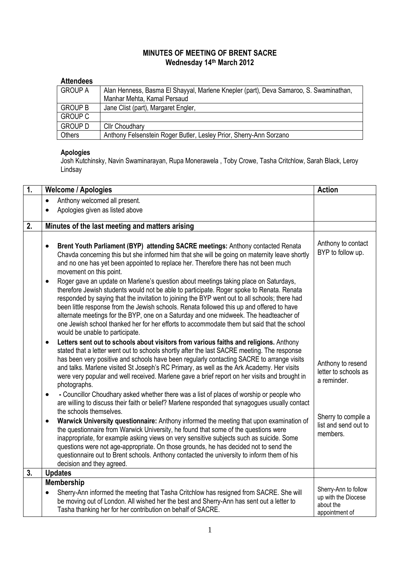### **MINUTES OF MEETING OF BRENT SACRE Wednesday 14th March 2012**

### **Attendees**

| <b>GROUP A</b> | Alan Henness, Basma El Shayyal, Marlene Knepler (part), Deva Samaroo, S. Swaminathan, |
|----------------|---------------------------------------------------------------------------------------|
|                | Manhar Mehta, Kamal Persaud                                                           |
| <b>GROUP B</b> | Jane Clist (part), Margaret Engler,                                                   |
| <b>GROUP C</b> |                                                                                       |
| <b>GROUP D</b> | <b>Cllr Choudhary</b>                                                                 |
| Others         | Anthony Felsenstein Roger Butler, Lesley Prior, Sherry-Ann Sorzano                    |

#### **Apologies**

Josh Kutchinsky, Navin Swaminarayan, Rupa Monerawela , Toby Crowe, Tasha Critchlow, Sarah Black, Leroy Lindsay

| 1. | <b>Welcome / Apologies</b>                                                                                                                                                                                                                                                                                                                                                                                                                                                                                                                                                                                             | <b>Action</b>                                                              |
|----|------------------------------------------------------------------------------------------------------------------------------------------------------------------------------------------------------------------------------------------------------------------------------------------------------------------------------------------------------------------------------------------------------------------------------------------------------------------------------------------------------------------------------------------------------------------------------------------------------------------------|----------------------------------------------------------------------------|
|    | Anthony welcomed all present.<br>$\bullet$                                                                                                                                                                                                                                                                                                                                                                                                                                                                                                                                                                             |                                                                            |
|    | Apologies given as listed above                                                                                                                                                                                                                                                                                                                                                                                                                                                                                                                                                                                        |                                                                            |
| 2. | Minutes of the last meeting and matters arising                                                                                                                                                                                                                                                                                                                                                                                                                                                                                                                                                                        |                                                                            |
|    |                                                                                                                                                                                                                                                                                                                                                                                                                                                                                                                                                                                                                        |                                                                            |
|    | Brent Youth Parliament (BYP) attending SACRE meetings: Anthony contacted Renata<br>$\bullet$<br>Chavda concerning this but she informed him that she will be going on maternity leave shortly<br>and no one has yet been appointed to replace her. Therefore there has not been much<br>movement on this point.                                                                                                                                                                                                                                                                                                        | Anthony to contact<br>BYP to follow up.                                    |
|    | Roger gave an update on Marlene's question about meetings taking place on Saturdays,<br>$\bullet$<br>therefore Jewish students would not be able to participate. Roger spoke to Renata. Renata<br>responded by saying that the invitation to joining the BYP went out to all schools; there had<br>been little response from the Jewish schools. Renata followed this up and offered to have<br>alternate meetings for the BYP, one on a Saturday and one midweek. The headteacher of<br>one Jewish school thanked her for her efforts to accommodate them but said that the school<br>would be unable to participate. |                                                                            |
|    | Letters sent out to schools about visitors from various faiths and religions. Anthony<br>$\bullet$<br>stated that a letter went out to schools shortly after the last SACRE meeting. The response<br>has been very positive and schools have been regularly contacting SACRE to arrange visits<br>and talks. Marlene visited St Joseph's RC Primary, as well as the Ark Academy. Her visits<br>were very popular and well received. Marlene gave a brief report on her visits and brought in<br>photographs.<br>- Councillor Choudhary asked whether there was a list of places of worship or people who<br>$\bullet$  | Anthony to resend<br>letter to schools as<br>a reminder.                   |
|    | are willing to discuss their faith or belief? Marlene responded that synagogues usually contact<br>the schools themselves.                                                                                                                                                                                                                                                                                                                                                                                                                                                                                             |                                                                            |
|    | Warwick University questionnaire: Anthony informed the meeting that upon examination of<br>$\bullet$<br>the questionnaire from Warwick University, he found that some of the questions were<br>inappropriate, for example asking views on very sensitive subjects such as suicide. Some<br>questions were not age-appropriate. On those grounds, he has decided not to send the<br>questionnaire out to Brent schools. Anthony contacted the university to inform them of his<br>decision and they agreed.                                                                                                             | Sherry to compile a<br>list and send out to<br>members.                    |
| 3. | <b>Updates</b>                                                                                                                                                                                                                                                                                                                                                                                                                                                                                                                                                                                                         |                                                                            |
|    | <b>Membership</b><br>Sherry-Ann informed the meeting that Tasha Critchlow has resigned from SACRE. She will<br>be moving out of London. All wished her the best and Sherry-Ann has sent out a letter to<br>Tasha thanking her for her contribution on behalf of SACRE.                                                                                                                                                                                                                                                                                                                                                 | Sherry-Ann to follow<br>up with the Diocese<br>about the<br>appointment of |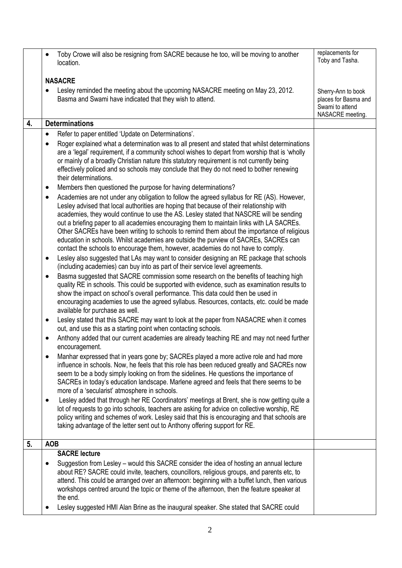|    | Toby Crowe will also be resigning from SACRE because he too, will be moving to another<br>$\bullet$<br>location.                                                                                                                                                                                                                                                                                                                                                                                                                                                                                                                                                                                                                                                                                                                                                                                                                                                                                                                                                                                                                                                                                                                                                        | replacements for<br>Toby and Tasha.                                               |
|----|-------------------------------------------------------------------------------------------------------------------------------------------------------------------------------------------------------------------------------------------------------------------------------------------------------------------------------------------------------------------------------------------------------------------------------------------------------------------------------------------------------------------------------------------------------------------------------------------------------------------------------------------------------------------------------------------------------------------------------------------------------------------------------------------------------------------------------------------------------------------------------------------------------------------------------------------------------------------------------------------------------------------------------------------------------------------------------------------------------------------------------------------------------------------------------------------------------------------------------------------------------------------------|-----------------------------------------------------------------------------------|
|    | <b>NASACRE</b>                                                                                                                                                                                                                                                                                                                                                                                                                                                                                                                                                                                                                                                                                                                                                                                                                                                                                                                                                                                                                                                                                                                                                                                                                                                          |                                                                                   |
|    | Lesley reminded the meeting about the upcoming NASACRE meeting on May 23, 2012.<br>Basma and Swami have indicated that they wish to attend.                                                                                                                                                                                                                                                                                                                                                                                                                                                                                                                                                                                                                                                                                                                                                                                                                                                                                                                                                                                                                                                                                                                             | Sherry-Ann to book<br>places for Basma and<br>Swami to attend<br>NASACRE meeting. |
| 4. | <b>Determinations</b>                                                                                                                                                                                                                                                                                                                                                                                                                                                                                                                                                                                                                                                                                                                                                                                                                                                                                                                                                                                                                                                                                                                                                                                                                                                   |                                                                                   |
|    | Refer to paper entitled 'Update on Determinations'.<br>$\bullet$                                                                                                                                                                                                                                                                                                                                                                                                                                                                                                                                                                                                                                                                                                                                                                                                                                                                                                                                                                                                                                                                                                                                                                                                        |                                                                                   |
|    | Roger explained what a determination was to all present and stated that whilst determinations<br>are a 'legal' requirement, if a community school wishes to depart from worship that is 'wholly<br>or mainly of a broadly Christian nature this statutory requirement is not currently being<br>effectively policed and so schools may conclude that they do not need to bother renewing<br>their determinations.                                                                                                                                                                                                                                                                                                                                                                                                                                                                                                                                                                                                                                                                                                                                                                                                                                                       |                                                                                   |
|    | Members then questioned the purpose for having determinations?<br>٠                                                                                                                                                                                                                                                                                                                                                                                                                                                                                                                                                                                                                                                                                                                                                                                                                                                                                                                                                                                                                                                                                                                                                                                                     |                                                                                   |
|    | Academies are not under any obligation to follow the agreed syllabus for RE (AS). However,<br>$\bullet$<br>Lesley advised that local authorities are hoping that because of their relationship with<br>academies, they would continue to use the AS. Lesley stated that NASCRE will be sending<br>out a briefing paper to all academies encouraging them to maintain links with LA SACREs.<br>Other SACREs have been writing to schools to remind them about the importance of religious<br>education in schools. Whilst academies are outside the purview of SACREs, SACREs can<br>contact the schools to encourage them, however, academies do not have to comply.<br>Lesley also suggested that LAs may want to consider designing an RE package that schools<br>٠<br>(including academies) can buy into as part of their service level agreements.<br>Basma suggested that SACRE commission some research on the benefits of teaching high<br>٠<br>quality RE in schools. This could be supported with evidence, such as examination results to<br>show the impact on school's overall performance. This data could then be used in<br>encouraging academies to use the agreed syllabus. Resources, contacts, etc. could be made<br>available for purchase as well. |                                                                                   |
|    | Lesley stated that this SACRE may want to look at the paper from NASACRE when it comes<br>٠<br>out, and use this as a starting point when contacting schools.                                                                                                                                                                                                                                                                                                                                                                                                                                                                                                                                                                                                                                                                                                                                                                                                                                                                                                                                                                                                                                                                                                           |                                                                                   |
|    | Anthony added that our current academies are already teaching RE and may not need further<br>$\bullet$<br>encouragement.                                                                                                                                                                                                                                                                                                                                                                                                                                                                                                                                                                                                                                                                                                                                                                                                                                                                                                                                                                                                                                                                                                                                                |                                                                                   |
|    | Manhar expressed that in years gone by; SACREs played a more active role and had more<br>influence in schools. Now, he feels that this role has been reduced greatly and SACREs now<br>seem to be a body simply looking on from the sidelines. He questions the importance of<br>SACREs in today's education landscape. Marlene agreed and feels that there seems to be<br>more of a 'secularist' atmosphere in schools.                                                                                                                                                                                                                                                                                                                                                                                                                                                                                                                                                                                                                                                                                                                                                                                                                                                |                                                                                   |
|    | Lesley added that through her RE Coordinators' meetings at Brent, she is now getting quite a<br>٠<br>lot of requests to go into schools, teachers are asking for advice on collective worship, RE<br>policy writing and schemes of work. Lesley said that this is encouraging and that schools are<br>taking advantage of the letter sent out to Anthony offering support for RE.                                                                                                                                                                                                                                                                                                                                                                                                                                                                                                                                                                                                                                                                                                                                                                                                                                                                                       |                                                                                   |
| 5. | <b>AOB</b>                                                                                                                                                                                                                                                                                                                                                                                                                                                                                                                                                                                                                                                                                                                                                                                                                                                                                                                                                                                                                                                                                                                                                                                                                                                              |                                                                                   |
|    | <b>SACRE lecture</b><br>Suggestion from Lesley – would this SACRE consider the idea of hosting an annual lecture<br>$\bullet$<br>about RE? SACRE could invite, teachers, councillors, religious groups, and parents etc, to<br>attend. This could be arranged over an afternoon: beginning with a buffet lunch, then various<br>workshops centred around the topic or theme of the afternoon, then the feature speaker at<br>the end.<br>Lesley suggested HMI Alan Brine as the inaugural speaker. She stated that SACRE could                                                                                                                                                                                                                                                                                                                                                                                                                                                                                                                                                                                                                                                                                                                                          |                                                                                   |
|    |                                                                                                                                                                                                                                                                                                                                                                                                                                                                                                                                                                                                                                                                                                                                                                                                                                                                                                                                                                                                                                                                                                                                                                                                                                                                         |                                                                                   |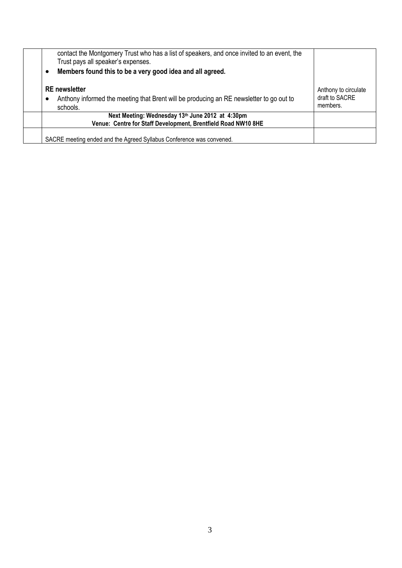| contact the Montgomery Trust who has a list of speakers, and once invited to an event, the<br>Trust pays all speaker's expenses. |                                                    |
|----------------------------------------------------------------------------------------------------------------------------------|----------------------------------------------------|
| Members found this to be a very good idea and all agreed.                                                                        |                                                    |
| <b>RE</b> newsletter<br>Anthony informed the meeting that Brent will be producing an RE newsletter to go out to<br>c<br>schools. | Anthony to circulate<br>draft to SACRE<br>members. |
| Next Meeting: Wednesday 13th June 2012 at 4:30pm<br>Venue: Centre for Staff Development, Brentfield Road NW10 8HE                |                                                    |
| SACRE meeting ended and the Agreed Syllabus Conference was convened.                                                             |                                                    |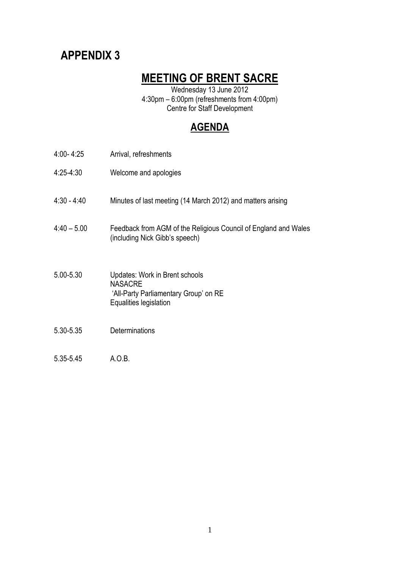## **MEETING OF BRENT SACRE**

Wednesday 13 June 2012 4:30pm – 6:00pm (refreshments from 4:00pm) Centre for Staff Development

### **AGENDA**

| $4:00 - 4:25$ | Arrival, refreshments                                                                                               |
|---------------|---------------------------------------------------------------------------------------------------------------------|
| $4:25-4:30$   | Welcome and apologies                                                                                               |
| $4:30 - 4:40$ | Minutes of last meeting (14 March 2012) and matters arising                                                         |
| $4:40 - 5.00$ | Feedback from AGM of the Religious Council of England and Wales<br>(including Nick Gibb's speech)                   |
| 5.00-5.30     | Updates: Work in Brent schools<br><b>NASACRE</b><br>'All-Party Parliamentary Group' on RE<br>Equalities legislation |
| 5.30-5.35     | Determinations                                                                                                      |
| 5.35-5.45     | A.O.B.                                                                                                              |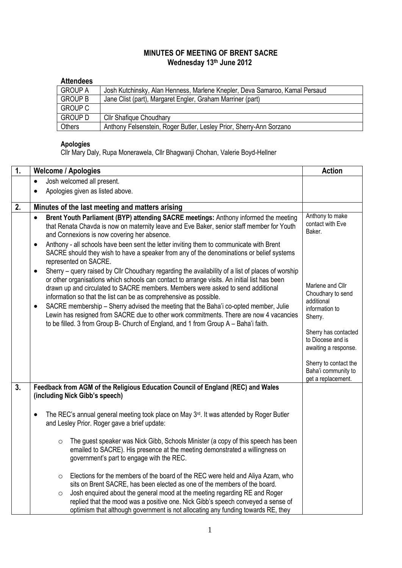### **MINUTES OF MEETING OF BRENT SACRE Wednesday 13th June 2012**

### **Attendees**

| .              |                                                                             |
|----------------|-----------------------------------------------------------------------------|
| <b>GROUP A</b> | Josh Kutchinsky, Alan Henness, Marlene Knepler, Deva Samaroo, Kamal Persaud |
| <b>GROUP B</b> | Jane Clist (part), Margaret Engler, Graham Marriner (part)                  |
| <b>GROUP C</b> |                                                                             |
| <b>GROUP D</b> | <b>Cllr Shafique Choudhary</b>                                              |
| Others         | Anthony Felsenstein, Roger Butler, Lesley Prior, Sherry-Ann Sorzano         |

### **Apologies**

Cllr Mary Daly, Rupa Monerawela, Cllr Bhagwanji Chohan, Valerie Boyd-Hellner

| 1. | <b>Welcome / Apologies</b>                                                                                                                                                                                                                                                                                                                                                                                                                                                                                                                                                                                                                   |                                                                                                                                                                                                                             |
|----|----------------------------------------------------------------------------------------------------------------------------------------------------------------------------------------------------------------------------------------------------------------------------------------------------------------------------------------------------------------------------------------------------------------------------------------------------------------------------------------------------------------------------------------------------------------------------------------------------------------------------------------------|-----------------------------------------------------------------------------------------------------------------------------------------------------------------------------------------------------------------------------|
|    | Josh welcomed all present.<br>$\bullet$                                                                                                                                                                                                                                                                                                                                                                                                                                                                                                                                                                                                      |                                                                                                                                                                                                                             |
|    | Apologies given as listed above.<br>$\bullet$                                                                                                                                                                                                                                                                                                                                                                                                                                                                                                                                                                                                |                                                                                                                                                                                                                             |
| 2. | Minutes of the last meeting and matters arising                                                                                                                                                                                                                                                                                                                                                                                                                                                                                                                                                                                              |                                                                                                                                                                                                                             |
|    | Brent Youth Parliament (BYP) attending SACRE meetings: Anthony informed the meeting<br>$\bullet$<br>that Renata Chavda is now on maternity leave and Eve Baker, senior staff member for Youth<br>and Connexions is now covering her absence.                                                                                                                                                                                                                                                                                                                                                                                                 | Anthony to make<br>contact with Eve<br>Baker.                                                                                                                                                                               |
|    | Anthony - all schools have been sent the letter inviting them to communicate with Brent<br>٠<br>SACRE should they wish to have a speaker from any of the denominations or belief systems<br>represented on SACRE.                                                                                                                                                                                                                                                                                                                                                                                                                            |                                                                                                                                                                                                                             |
|    | Sherry - query raised by Cllr Choudhary regarding the availability of a list of places of worship<br>٠<br>or other organisations which schools can contact to arrange visits. An initial list has been<br>drawn up and circulated to SACRE members. Members were asked to send additional<br>information so that the list can be as comprehensive as possible.<br>SACRE membership - Sherry advised the meeting that the Baha'i co-opted member, Julie<br>٠<br>Lewin has resigned from SACRE due to other work commitments. There are now 4 vacancies<br>to be filled. 3 from Group B- Church of England, and 1 from Group A - Baha'i faith. | Marlene and Cllr<br>Choudhary to send<br>additional<br>information to<br>Sherry.<br>Sherry has contacted<br>to Diocese and is<br>awaiting a response.<br>Sherry to contact the<br>Baha'i community to<br>get a replacement. |
| 3. | Feedback from AGM of the Religious Education Council of England (REC) and Wales<br>(including Nick Gibb's speech)                                                                                                                                                                                                                                                                                                                                                                                                                                                                                                                            |                                                                                                                                                                                                                             |
|    | The REC's annual general meeting took place on May 3rd. It was attended by Roger Butler<br>٠<br>and Lesley Prior. Roger gave a brief update:                                                                                                                                                                                                                                                                                                                                                                                                                                                                                                 |                                                                                                                                                                                                                             |
|    | The guest speaker was Nick Gibb, Schools Minister (a copy of this speech has been<br>$\circ$<br>emailed to SACRE). His presence at the meeting demonstrated a willingness on<br>government's part to engage with the REC.                                                                                                                                                                                                                                                                                                                                                                                                                    |                                                                                                                                                                                                                             |
|    | Elections for the members of the board of the REC were held and Aliya Azam, who<br>$\circ$<br>sits on Brent SACRE, has been elected as one of the members of the board.<br>Josh enquired about the general mood at the meeting regarding RE and Roger<br>$\circ$                                                                                                                                                                                                                                                                                                                                                                             |                                                                                                                                                                                                                             |
|    | replied that the mood was a positive one. Nick Gibb's speech conveyed a sense of<br>optimism that although government is not allocating any funding towards RE, they                                                                                                                                                                                                                                                                                                                                                                                                                                                                         |                                                                                                                                                                                                                             |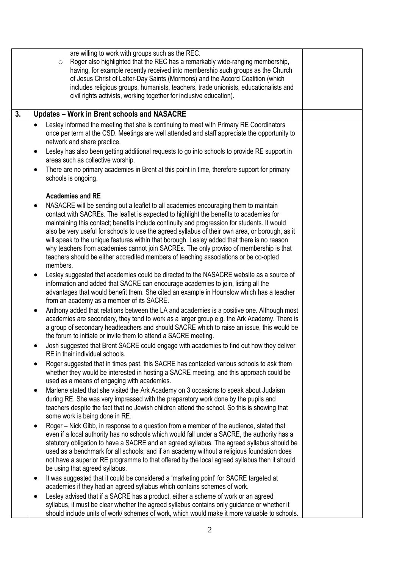|    | are willing to work with groups such as the REC.<br>Roger also highlighted that the REC has a remarkably wide-ranging membership,<br>$\circ$                                             |  |
|----|------------------------------------------------------------------------------------------------------------------------------------------------------------------------------------------|--|
|    | having, for example recently received into membership such groups as the Church<br>of Jesus Christ of Latter-Day Saints (Mormons) and the Accord Coalition (which                        |  |
|    | includes religious groups, humanists, teachers, trade unionists, educationalists and                                                                                                     |  |
|    | civil rights activists, working together for inclusive education).                                                                                                                       |  |
| 3. | <b>Updates - Work in Brent schools and NASACRE</b>                                                                                                                                       |  |
|    | Lesley informed the meeting that she is continuing to meet with Primary RE Coordinators<br>$\bullet$                                                                                     |  |
|    | once per term at the CSD. Meetings are well attended and staff appreciate the opportunity to<br>network and share practice.                                                              |  |
|    | Lesley has also been getting additional requests to go into schools to provide RE support in<br>$\bullet$                                                                                |  |
|    | areas such as collective worship.                                                                                                                                                        |  |
|    | There are no primary academies in Brent at this point in time, therefore support for primary<br>٠<br>schools is ongoing.                                                                 |  |
|    | <b>Academies and RE</b>                                                                                                                                                                  |  |
|    | NASACRE will be sending out a leaflet to all academies encouraging them to maintain<br>٠                                                                                                 |  |
|    | contact with SACREs. The leaflet is expected to highlight the benefits to academies for<br>maintaining this contact; benefits include continuity and progression for students. It would  |  |
|    | also be very useful for schools to use the agreed syllabus of their own area, or borough, as it                                                                                          |  |
|    | will speak to the unique features within that borough. Lesley added that there is no reason<br>why teachers from academies cannot join SACREs. The only proviso of membership is that    |  |
|    | teachers should be either accredited members of teaching associations or be co-opted                                                                                                     |  |
|    | members.<br>Lesley suggested that academies could be directed to the NASACRE website as a source of<br>$\bullet$                                                                         |  |
|    | information and added that SACRE can encourage academies to join, listing all the                                                                                                        |  |
|    | advantages that would benefit them. She cited an example in Hounslow which has a teacher                                                                                                 |  |
|    | from an academy as a member of its SACRE.<br>Anthony added that relations between the LA and academies is a positive one. Although most<br>٠                                             |  |
|    | academies are secondary, they tend to work as a larger group e.g. the Ark Academy. There is                                                                                              |  |
|    | a group of secondary headteachers and should SACRE which to raise an issue, this would be<br>the forum to initiate or invite them to attend a SACRE meeting.                             |  |
|    | Josh suggested that Brent SACRE could engage with academies to find out how they deliver<br>٠                                                                                            |  |
|    | RE in their individual schools.                                                                                                                                                          |  |
|    | Roger suggested that in times past, this SACRE has contacted various schools to ask them<br>٠<br>whether they would be interested in hosting a SACRE meeting, and this approach could be |  |
|    | used as a means of engaging with academies.                                                                                                                                              |  |
|    | Marlene stated that she visited the Ark Academy on 3 occasions to speak about Judaism<br>$\bullet$                                                                                       |  |
|    | during RE. She was very impressed with the preparatory work done by the pupils and<br>teachers despite the fact that no Jewish children attend the school. So this is showing that       |  |
|    | some work is being done in RE.                                                                                                                                                           |  |
|    | Roger – Nick Gibb, in response to a question from a member of the audience, stated that<br>even if a local authority has no schools which would fall under a SACRE, the authority has a  |  |
|    | statutory obligation to have a SACRE and an agreed syllabus. The agreed syllabus should be                                                                                               |  |
|    | used as a benchmark for all schools; and if an academy without a religious foundation does                                                                                               |  |
|    | not have a superior RE programme to that offered by the local agreed syllabus then it should<br>be using that agreed syllabus.                                                           |  |
|    | It was suggested that it could be considered a 'marketing point' for SACRE targeted at<br>٠                                                                                              |  |
|    | academies if they had an agreed syllabus which contains schemes of work.                                                                                                                 |  |
|    | Lesley advised that if a SACRE has a product, either a scheme of work or an agreed<br>٠<br>syllabus, it must be clear whether the agreed syllabus contains only guidance or whether it   |  |
|    | should include units of work/ schemes of work, which would make it more valuable to schools.                                                                                             |  |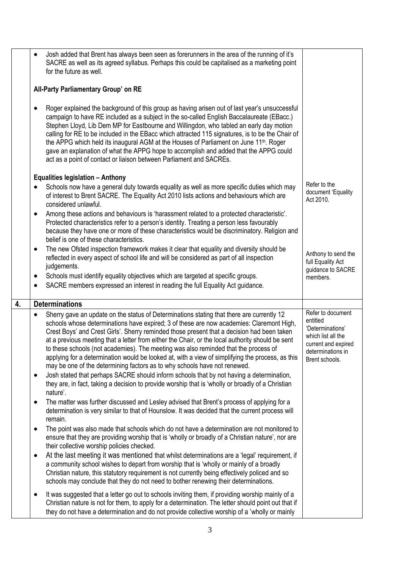|    |           | Josh added that Brent has always been seen as forerunners in the area of the running of it's<br>SACRE as well as its agreed syllabus. Perhaps this could be capitalised as a marketing point<br>for the future as well.                                                                                                                                                                                                                                                                                                                                                                                                                                         |                                                                                                                                       |  |  |  |  |  |
|----|-----------|-----------------------------------------------------------------------------------------------------------------------------------------------------------------------------------------------------------------------------------------------------------------------------------------------------------------------------------------------------------------------------------------------------------------------------------------------------------------------------------------------------------------------------------------------------------------------------------------------------------------------------------------------------------------|---------------------------------------------------------------------------------------------------------------------------------------|--|--|--|--|--|
|    |           | All-Party Parliamentary Group' on RE                                                                                                                                                                                                                                                                                                                                                                                                                                                                                                                                                                                                                            |                                                                                                                                       |  |  |  |  |  |
|    |           | Roger explained the background of this group as having arisen out of last year's unsuccessful<br>campaign to have RE included as a subject in the so-called English Baccalaureate (EBacc.)<br>Stephen Lloyd, Lib Dem MP for Eastbourne and Willingdon, who tabled an early day motion<br>calling for RE to be included in the EBacc which attracted 115 signatures, is to be the Chair of<br>the APPG which held its inaugural AGM at the Houses of Parliament on June 11 <sup>th</sup> . Roger<br>gave an explanation of what the APPG hope to accomplish and added that the APPG could<br>act as a point of contact or liaison between Parliament and SACREs. |                                                                                                                                       |  |  |  |  |  |
|    |           | <b>Equalities legislation - Anthony</b>                                                                                                                                                                                                                                                                                                                                                                                                                                                                                                                                                                                                                         |                                                                                                                                       |  |  |  |  |  |
|    |           | Schools now have a general duty towards equality as well as more specific duties which may<br>of interest to Brent SACRE. The Equality Act 2010 lists actions and behaviours which are<br>considered unlawful.                                                                                                                                                                                                                                                                                                                                                                                                                                                  | Refer to the<br>document 'Equality<br>Act 2010.                                                                                       |  |  |  |  |  |
|    | $\bullet$ | Among these actions and behaviours is 'harassment related to a protected characteristic'.<br>Protected characteristics refer to a person's identity. Treating a person less favourably<br>because they have one or more of these characteristics would be discriminatory. Religion and<br>belief is one of these characteristics.                                                                                                                                                                                                                                                                                                                               |                                                                                                                                       |  |  |  |  |  |
|    | ٠         | The new Ofsted inspection framework makes it clear that equality and diversity should be<br>reflected in every aspect of school life and will be considered as part of all inspection<br>judgements.                                                                                                                                                                                                                                                                                                                                                                                                                                                            | Anthony to send the<br>full Equality Act<br>guidance to SACRE                                                                         |  |  |  |  |  |
|    | ٠         | Schools must identify equality objectives which are targeted at specific groups.                                                                                                                                                                                                                                                                                                                                                                                                                                                                                                                                                                                | members.                                                                                                                              |  |  |  |  |  |
|    | ٠         | SACRE members expressed an interest in reading the full Equality Act guidance.                                                                                                                                                                                                                                                                                                                                                                                                                                                                                                                                                                                  |                                                                                                                                       |  |  |  |  |  |
| 4. |           | <b>Determinations</b>                                                                                                                                                                                                                                                                                                                                                                                                                                                                                                                                                                                                                                           |                                                                                                                                       |  |  |  |  |  |
|    | ٠         | Sherry gave an update on the status of Determinations stating that there are currently 12<br>schools whose determinations have expired; 3 of these are now academies: Claremont High,<br>Crest Boys' and Crest Girls'. Sherry reminded those present that a decision had been taken<br>at a previous meeting that a letter from either the Chair, or the local authority should be sent<br>to these schools (not academies). The meeting was also reminded that the process of<br>applying for a determination would be looked at, with a view of simplifying the process, as this<br>may be one of the determining factors as to why schools have not renewed. | Refer to document<br>entitled<br>'Determinations'<br>which list all the<br>current and expired<br>determinations in<br>Brent schools. |  |  |  |  |  |
|    | ٠         | Josh stated that perhaps SACRE should inform schools that by not having a determination,<br>they are, in fact, taking a decision to provide worship that is 'wholly or broadly of a Christian<br>nature'.                                                                                                                                                                                                                                                                                                                                                                                                                                                       |                                                                                                                                       |  |  |  |  |  |
|    | ٠         | The matter was further discussed and Lesley advised that Brent's process of applying for a<br>determination is very similar to that of Hounslow. It was decided that the current process will<br>remain.                                                                                                                                                                                                                                                                                                                                                                                                                                                        |                                                                                                                                       |  |  |  |  |  |
|    | ٠         | The point was also made that schools which do not have a determination are not monitored to<br>ensure that they are providing worship that is 'wholly or broadly of a Christian nature', nor are<br>their collective worship policies checked.                                                                                                                                                                                                                                                                                                                                                                                                                  |                                                                                                                                       |  |  |  |  |  |
|    | ٠         | At the last meeting it was mentioned that whilst determinations are a 'legal' requirement, if<br>a community school wishes to depart from worship that is 'wholly or mainly of a broadly<br>Christian nature, this statutory requirement is not currently being effectively policed and so<br>schools may conclude that they do not need to bother renewing their determinations.                                                                                                                                                                                                                                                                               |                                                                                                                                       |  |  |  |  |  |
|    | ٠         | It was suggested that a letter go out to schools inviting them, if providing worship mainly of a<br>Christian nature is not for them, to apply for a determination. The letter should point out that if<br>they do not have a determination and do not provide collective worship of a 'wholly or mainly                                                                                                                                                                                                                                                                                                                                                        |                                                                                                                                       |  |  |  |  |  |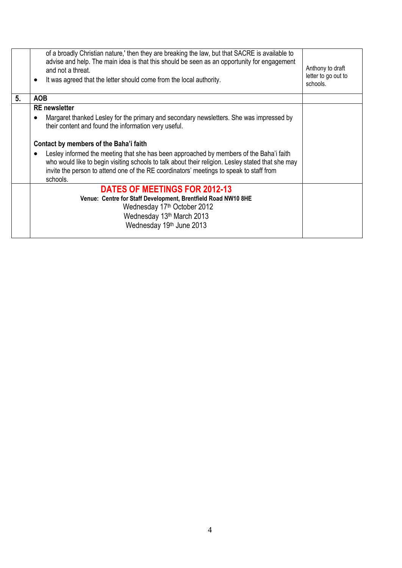|    | of a broadly Christian nature,' then they are breaking the law, but that SACRE is available to<br>advise and help. The main idea is that this should be seen as an opportunity for engagement<br>and not a threat.<br>It was agreed that the letter should come from the local authority.<br>$\bullet$           | Anthony to draft<br>letter to go out to<br>schools. |
|----|------------------------------------------------------------------------------------------------------------------------------------------------------------------------------------------------------------------------------------------------------------------------------------------------------------------|-----------------------------------------------------|
| 5. | <b>AOB</b>                                                                                                                                                                                                                                                                                                       |                                                     |
|    | <b>RE</b> newsletter                                                                                                                                                                                                                                                                                             |                                                     |
|    | Margaret thanked Lesley for the primary and secondary newsletters. She was impressed by<br>$\bullet$<br>their content and found the information very useful.                                                                                                                                                     |                                                     |
|    | Contact by members of the Baha'i faith                                                                                                                                                                                                                                                                           |                                                     |
|    | Lesley informed the meeting that she has been approached by members of the Baha'i faith<br>$\bullet$<br>who would like to begin visiting schools to talk about their religion. Lesley stated that she may<br>invite the person to attend one of the RE coordinators' meetings to speak to staff from<br>schools. |                                                     |
|    | <b>DATES OF MEETINGS FOR 2012-13</b>                                                                                                                                                                                                                                                                             |                                                     |
|    | Venue: Centre for Staff Development, Brentfield Road NW10 8HE                                                                                                                                                                                                                                                    |                                                     |
|    | Wednesday 17 <sup>th</sup> October 2012                                                                                                                                                                                                                                                                          |                                                     |
|    | Wednesday 13th March 2013                                                                                                                                                                                                                                                                                        |                                                     |
|    | Wednesday 19th June 2013                                                                                                                                                                                                                                                                                         |                                                     |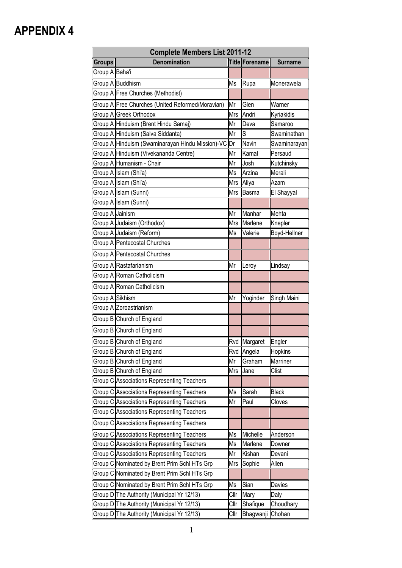| <b>Complete Members List 2011-12</b> |                                                     |            |                |                |  |  |  |
|--------------------------------------|-----------------------------------------------------|------------|----------------|----------------|--|--|--|
| <b>Groups</b>                        | <b>Denomination</b>                                 |            | Title Forename | <b>Surname</b> |  |  |  |
| Group A Baha'i                       |                                                     |            |                |                |  |  |  |
|                                      | Group A Buddhism                                    | Ms         | Rupa           | Monerawela     |  |  |  |
|                                      | Group A Free Churches (Methodist)                   |            |                |                |  |  |  |
|                                      | Group A Free Churches (United Reformed/Moravian)    | Mr         | Glen           | Warner         |  |  |  |
|                                      | Group A Greek Orthodox                              | <b>Mrs</b> | Andri          | Kyriakidis     |  |  |  |
|                                      | Group A Hinduism (Brent Hindu Samaj)                | Mr         | Deva           | Samaroo        |  |  |  |
|                                      | Group A Hinduism (Saiva Siddanta)                   | Mr         | S              | Swaminathan    |  |  |  |
|                                      | Group A Hinduism (Swaminarayan Hindu Mission)-VC Dr |            | Navin          | Swaminarayan   |  |  |  |
|                                      | Group A Hinduism (Vivekananda Centre)               | Mr         | Kamal          | Persaud        |  |  |  |
|                                      | Group A Humanism - Chair                            | Mr         | Josh           | Kutchinsky     |  |  |  |
|                                      | Group A Islam (Shi'a)                               | Ms         | Arzina         | Merali         |  |  |  |
|                                      | Group A Islam (Shi'a)                               | Mrs        | Aliya          | Azam           |  |  |  |
|                                      | Group A Islam (Sunni)                               | Mrs        | Basma          | El Shayyal     |  |  |  |
|                                      | Group A Islam (Sunni)                               |            |                |                |  |  |  |
| Group A Jainism                      |                                                     | Mr         | Manhar         | Mehta          |  |  |  |
|                                      | Group A Judaism (Orthodox)                          | <b>Mrs</b> | Marlene        | Knepler        |  |  |  |
|                                      | Group A Judaism (Reform)                            | Ms         | Valerie        | Boyd-Hellner   |  |  |  |
|                                      | <b>Group A Pentecostal Churches</b>                 |            |                |                |  |  |  |
|                                      | Group A Pentecostal Churches                        |            |                |                |  |  |  |
|                                      | Group A Rastafarianism                              | Mr         | Leroy          | Lindsay        |  |  |  |
|                                      | Group A Roman Catholicism                           |            |                |                |  |  |  |
|                                      | Group A Roman Catholicism                           |            |                |                |  |  |  |
| Group A Sikhism                      |                                                     | Mr         | Yoginder       | Singh Maini    |  |  |  |
|                                      | Group A Zoroastrianism                              |            |                |                |  |  |  |
|                                      | Group B Church of England                           |            |                |                |  |  |  |
|                                      | Group B Church of England                           |            |                |                |  |  |  |
|                                      | Group B Church of England                           |            | Rvd Margaret   | Engler         |  |  |  |
|                                      | Group B Church of England                           |            | Rvd Angela     | <b>Hopkins</b> |  |  |  |
|                                      | Group B Church of England                           | Mr         | Graham         | Marriner       |  |  |  |
|                                      | Group B Church of England                           | Mrs        | Jane           | Clist          |  |  |  |
|                                      | Group C Associations Representing Teachers          |            |                |                |  |  |  |
|                                      | <b>Group C Associations Representing Teachers</b>   | Ms         | Sarah          | <b>Black</b>   |  |  |  |
|                                      | Group C Associations Representing Teachers          | Mr         | Paul           | Cloves         |  |  |  |
|                                      | Group C Associations Representing Teachers          |            |                |                |  |  |  |
|                                      | Group C Associations Representing Teachers          |            |                |                |  |  |  |
|                                      | Group C Associations Representing Teachers          | Ms         | Michelle       | Anderson       |  |  |  |
|                                      | Group C Associations Representing Teachers          | Ms         | Marlene        | Downer         |  |  |  |
|                                      | Group C Associations Representing Teachers          | Mr         | Kishan         | Devani         |  |  |  |
|                                      | Group C Nominated by Brent Prim Schl HTs Grp        | Mrs        | Sophie         | Allen          |  |  |  |
|                                      | Group C Nominated by Brent Prim Schl HTs Grp        |            |                |                |  |  |  |
|                                      | Group C Nominated by Brent Prim Schl HTs Grp        | Ms         | Sian           | Davies         |  |  |  |
|                                      | Group D The Authority (Municipal Yr 12/13)          | Cllr       | Mary           | Daly           |  |  |  |
|                                      | Group D The Authority (Municipal Yr 12/13)          | Cllr       | Shafique       | Choudhary      |  |  |  |
|                                      | Group D The Authority (Municipal Yr 12/13)          | Cllr       | Bhagwanji      | Chohan         |  |  |  |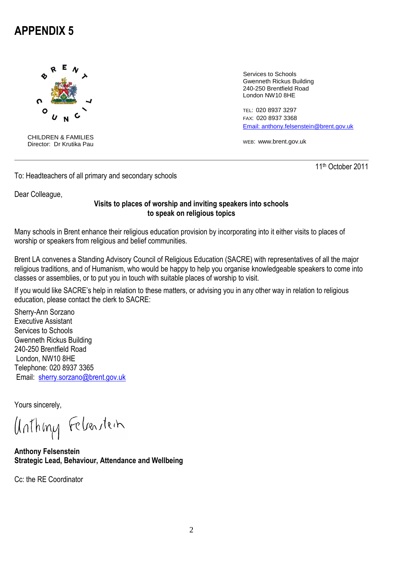

CHILDREN & FAMILIES Director: Dr Krutika Pau

Services to Schools Gwenneth Rickus Building 240-250 Brentfield Road London NW10 8HE

TEL: 020 8937 3297 FAX: 020 8937 3368 [Email: anthony.felsenstein@brent.gov.uk](mailto:Email:%20anthony.felsenstein@brent.gov.uk)

WEB: www.brent.gov.uk

11th October 2011

To: Headteachers of all primary and secondary schools

Dear Colleague,

### **Visits to places of worship and inviting speakers into schools to speak on religious topics**

Many schools in Brent enhance their religious education provision by incorporating into it either visits to places of worship or speakers from religious and belief communities.

Brent LA convenes a Standing Advisory Council of Religious Education (SACRE) with representatives of all the major religious traditions, and of Humanism, who would be happy to help you organise knowledgeable speakers to come into classes or assemblies, or to put you in touch with suitable places of worship to visit.

If you would like SACRE's help in relation to these matters, or advising you in any other way in relation to religious education, please contact the clerk to SACRE:

Sherry-Ann Sorzano Executive Assistant Services to Schools Gwenneth Rickus Building 240-250 Brentfield Road London, NW10 8HE Telephone: 020 8937 3365 Email: [sherry.sorzano@brent.gov.uk](mailto:maria.lane@brent.gov.uk)

Yours sincerely,

Unthing Febenstein

**Anthony Felsenstein Strategic Lead, Behaviour, Attendance and Wellbeing**

Cc: the RE Coordinator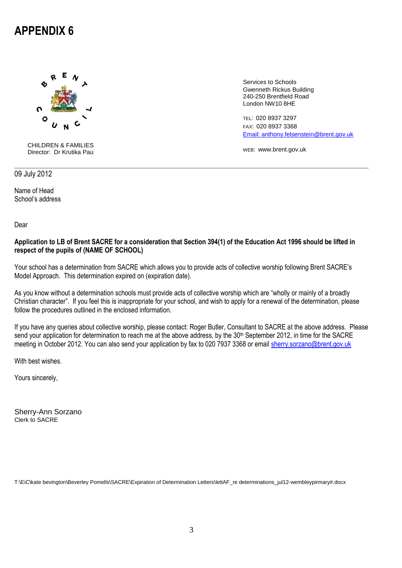

CHILDREN & FAMILIES Director: Dr Krutika Pau

Services to Schools Gwenneth Rickus Building 240-250 Brentfield Road London NW10 8HE

TEL: 020 8937 3297 FAX: 020 8937 3368 [Email: anthony.felsenstein@brent.gov.uk](mailto:Email:%20anthony.felsenstein@brent.gov.uk)

WEB: www.brent.gov.uk

09 July 2012

Name of Head School's address

Dear

#### **Application to LB of Brent SACRE for a consideration that Section 394(1) of the Education Act 1996 should be lifted in respect of the pupils of (NAME OF SCHOOL)**

Your school has a determination from SACRE which allows you to provide acts of collective worship following Brent SACRE's Model Approach. This determination expired on (expiration date).

As you know without a determination schools must provide acts of collective worship which are "wholly or mainly of a broadly Christian character". If you feel this is inappropriate for your school, and wish to apply for a renewal of the determination, please follow the procedures outlined in the enclosed information.

If you have any queries about collective worship, please contact: Roger Butler, Consultant to SACRE at the above address. Please send your application for determination to reach me at the above address, by the 30<sup>th</sup> September 2012, in time for the SACRE meeting in October 2012. You can also send your application by fax to 020 7937 3368 or email [sherry.sorzano@brent.gov.uk](mailto:sherry.sorzano@brent.gov.uk)

With best wishes.

Yours sincerely,

Sherry-Ann Sorzano Clerk to SACRE

T:\EiC\kate bevington\Beverley Pomells\SACRE\Expiration of Determination Letters\lettAF\_re determinations\_jul12-wembleypirmary#.docx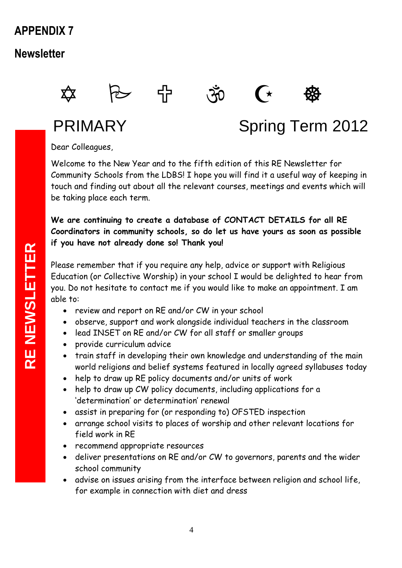## **Newsletter**









# PRIMARY Spring Term 2012

Dear Colleagues,

Welcome to the New Year and to the fifth edition of this RE Newsletter for Community Schools from the LDBS! I hope you will find it a useful way of keeping in touch and finding out about all the relevant courses, meetings and events which will be taking place each term.

**We are continuing to create a database of CONTACT DETAILS for all RE Coordinators in community schools, so do let us have yours as soon as possible if you have not already done so! Thank you!**

Please remember that if you require any help, advice or support with Religious Education (or Collective Worship) in your school I would be delighted to hear from you. Do not hesitate to contact me if you would like to make an appointment. I am able to:

- review and report on RE and/or CW in your school
- observe, support and work alongside individual teachers in the classroom
- lead INSET on RE and/or CW for all staff or smaller groups
- provide curriculum advice
- train staff in developing their own knowledge and understanding of the main world religions and belief systems featured in locally agreed syllabuses today
- help to draw up RE policy documents and/or units of work
- help to draw up CW policy documents, including applications for a 'determination' or determination' renewal
- assist in preparing for (or responding to) OFSTED inspection
- arrange school visits to places of worship and other relevant locations for field work in RE
- recommend appropriate resources
- deliver presentations on RE and/or CW to governors, parents and the wider school community
- advise on issues arising from the interface between religion and school life, for example in connection with diet and dress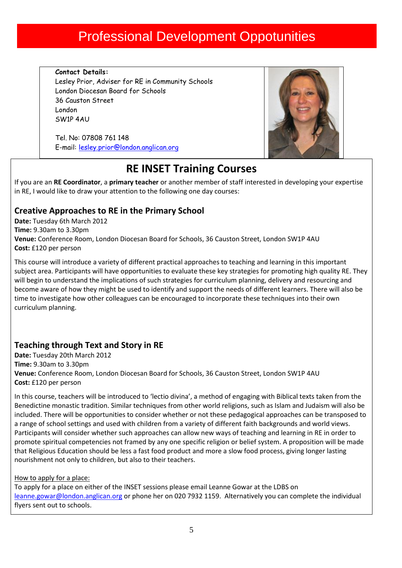## Professional Development Oppotunities

**Contact Details:** Lesley Prior, Adviser for RE in Community Schools London Diocesan Board for Schools 36 Causton Street London SW1P 4AU

Tel. No: 07808 761 148 E-mail: [lesley.prior@london.anglican.org](mailto:lesley.prior@london.anglican.org)



## **RE INSET Training Courses**

If you are an **RE Coordinator**, a **primary teacher** or another member of staff interested in developing your expertise in RE, I would like to draw your attention to the following one day courses:

### **Creative Approaches to RE in the Primary School**

**Date:** Tuesday 6th March 2012 **Time:** 9.30am to 3.30pm **Venue:** Conference Room, London Diocesan Board for Schools, 36 Causton Street, London SW1P 4AU **Cost:** £120 per person

This course will introduce a variety of different practical approaches to teaching and learning in this important subject area. Participants will have opportunities to evaluate these key strategies for promoting high quality RE. They will begin to understand the implications of such strategies for curriculum planning, delivery and resourcing and become aware of how they might be used to identify and support the needs of different learners. There will also be time to investigate how other colleagues can be encouraged to incorporate these techniques into their own curriculum planning.

### **Teaching through Text and Story in RE**

**Date:** Tuesday 20th March 2012

**Time:** 9.30am to 3.30pm

**Venue:** Conference Room, London Diocesan Board for Schools, 36 Causton Street, London SW1P 4AU **Cost:** £120 per person

In this course, teachers will be introduced to 'lectio divina', a method of engaging with Biblical texts taken from the Benedictine monastic tradition. Similar techniques from other world religions, such as Islam and Judaism will also be included. There will be opportunities to consider whether or not these pedagogical approaches can be transposed to a range of school settings and used with children from a variety of different faith backgrounds and world views. Participants will consider whether such approaches can allow new ways of teaching and learning in RE in order to promote spiritual competencies not framed by any one specific religion or belief system. A proposition will be made that Religious Education should be less a fast food product and more a slow food process, giving longer lasting nourishment not only to children, but also to their teachers.

### How to apply for a place:

To apply for a place on either of the INSET sessions please email Leanne Gowar at the LDBS on leanne.gowar@london.anglican.org or phone her on 020 7932 1159. Alternatively you can complete the individual flyers sent out to schools.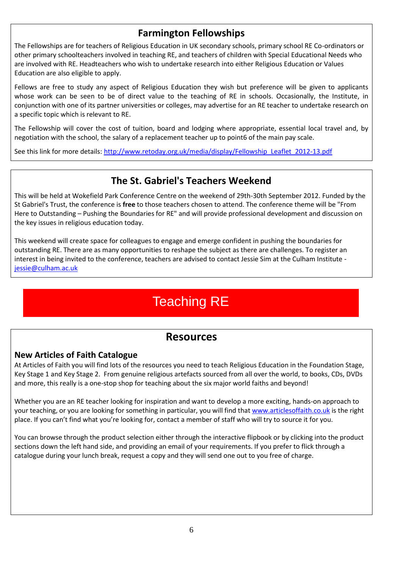### **Farmington Fellowships**

The Fellowships are for teachers of Religious Education in UK secondary schools, primary school RE Co-ordinators or other primary schoolteachers involved in teaching RE, and teachers of children with Special Educational Needs who are involved with RE. Headteachers who wish to undertake research into either Religious Education or Values Education are also eligible to apply.

Fellows are free to study any aspect of Religious Education they wish but preference will be given to applicants whose work can be seen to be of direct value to the teaching of RE in schools. Occasionally, the Institute, in conjunction with one of its partner universities or colleges, may advertise for an RE teacher to undertake research on a specific topic which is relevant to RE.

The Fellowship will cover the cost of tuition, board and lodging where appropriate, essential local travel and, by negotiation with the school, the salary of a replacement teacher up to point6 of the main pay scale.

See this link for more details[: http://www.retoday.org.uk/media/display/Fellowship\\_Leaflet\\_2012-13.pdf](http://www.retoday.org.uk/media/display/Fellowship_Leaflet_2012-13.pdf)

### **The St. Gabriel's Teachers Weekend**

This will be held at Wokefield Park Conference Centre on the weekend of 29th-30th September 2012. Funded by the St Gabriel's Trust, the conference is **free** to those teachers chosen to attend. The conference theme will be "From Here to Outstanding – Pushing the Boundaries for RE" and will provide professional development and discussion on the key issues in religious education today.

This weekend will create space for colleagues to engage and emerge confident in pushing the boundaries for outstanding RE. There are as many opportunities to reshape the subject as there are challenges. To register an interest in being invited to the conference, teachers are advised to contact Jessie Sim at the Culham Institute [jessie@culham.ac.uk](mailto:jessie@culham.ac.uk)

## Teaching RE

### **Resources**

### **New Articles of Faith Catalogue**

At Articles of Faith you will find lots of the resources you need to teach Religious Education in the Foundation Stage, Key Stage 1 and Key Stage 2. From genuine religious artefacts sourced from all over the world, to books, CDs, DVDs and more, this really is a one-stop shop for teaching about the six major world faiths and beyond!

Whether you are an RE teacher looking for inspiration and want to develop a more exciting, hands-on approach to your teaching, or you are looking for something in particular, you will find that [www.articlesoffaith.co.uk](http://www.articlesoffaith.co.uk/) is the right place. If you can't find what you're looking for, contact a member of staff who will try to source it for you.

You can browse through the product selection either through the interactive flipbook or by clicking into the product sections down the left hand side, and providing an email of your requirements. If you prefer to flick through a catalogue during your lunch break, request a copy and they will send one out to you free of charge.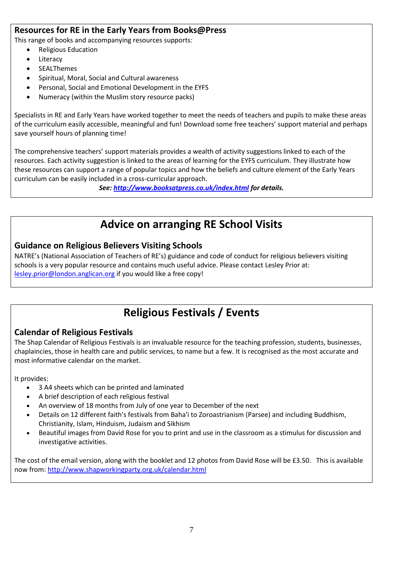### **Resources for RE in the Early Years from Books@Press**

This range of books and accompanying resources supports:

- Religious Education
- Literacy
- SEALThemes
- Spiritual, Moral, Social and Cultural awareness
- Personal, Social and Emotional Development in the EYFS
- Numeracy (within the Muslim story resource packs)

Specialists in RE and Early Years have worked together to meet the needs of teachers and pupils to make these areas of the curriculum easily accessible, meaningful and fun! Download some free teachers' support material and perhaps save yourself hours of planning time!

The comprehensive teachers' support materials provides a wealth of activity suggestions linked to each of the resources. Each activity suggestion is linked to the areas of learning for the EYFS curriculum. They illustrate how these resources can support a range of popular topics and how the beliefs and culture element of the Early Years curriculum can be easily included in a cross-curricular approach.

*See:<http://www.booksatpress.co.uk/index.html> for details.*

## **Advice on arranging RE School Visits**

### **Guidance on Religious Believers Visiting Schools**

NATRE's (National Association of Teachers of RE's) guidance and code of conduct for religious believers visiting schools is a very popular resource and contains much useful advice. Please contact Lesley Prior at: [lesley.prior@london.anglican.org](mailto:lesley.prior@london.anglican.org) if you would like a free copy!

## **Religious Festivals / Events**

### **Calendar of Religious Festivals**

The Shap Calendar of Religious Festivals is an invaluable resource for the teaching profession, students, businesses, chaplaincies, those in health care and public services, to name but a few. It is recognised as the most accurate and most informative calendar on the market.

It provides:

- 3 A4 sheets which can be printed and laminated
- A brief description of each religious festival
- An overview of 18 months from July of one year to December of the next
- Details on 12 different faith's festivals from Baha'i to Zoroastrianism (Parsee) and including Buddhism, Christianity, Islam, Hinduism, Judaism and Sikhism
- Beautiful images from David Rose for you to print and use in the classroom as a stimulus for discussion and investigative activities.

The cost of the email version, along with the booklet and 12 photos from David Rose will be £3.50. This is available now from[: http://www.shapworkingparty.org.uk/calendar.html](http://www.shapworkingparty.org.uk/calendar.html)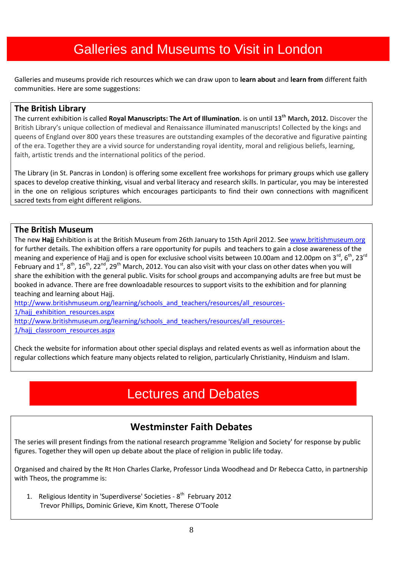## Galleries and Museums to Visit in London

Galleries and museums provide rich resources which we can draw upon to **learn about** and **learn from** different faith communities. Here are some suggestions:

### **The British Library**

The current exhibition is called **Royal Manuscripts: The Art of Illumination**. is on until **13th March, 2012.** Discover the British Library's unique collection of medieval and Renaissance illuminated manuscripts! Collected by the kings and queens of England over 800 years these treasures are outstanding examples of the decorative and figurative painting of the era. Together they are a vivid source for understanding royal identity, moral and religious beliefs, learning, faith, artistic trends and the international politics of the period.

The Library (in St. Pancras in London) is offering some excellent free workshops for primary groups which use gallery spaces to develop creative thinking, visual and verbal literacy and research skills. In particular, you may be interested in the one on religious scriptures which encourages participants to find their own connections with magnificent sacred texts from eight different religions.

### **The British Museum**

The new **Hajj** Exhibition is at the British Museum from 26th January to 15th April 2012. Se[e www.britishmuseum.org](http://www.britishmuseum.org/) for further details. The exhibition offers a rare opportunity for pupils and teachers to gain a close awareness of the meaning and experience of Hajj and is open for exclusive school visits between 10.00am and 12.00pm on 3<sup>rd</sup>, 6<sup>th</sup>, 23<sup>rd</sup> February and  $1^{st}$ ,  $8^{th}$ ,  $16^{th}$ ,  $22^{nd}$ ,  $29^{th}$  March, 2012. You can also visit with your class on other dates when you will share the exhibition with the general public. Visits for school groups and accompanying adults are free but must be booked in advance. There are free downloadable resources to support visits to the exhibition and for planning teaching and learning about Hajj.

[http://www.britishmuseum.org/learning/schools\\_and\\_teachers/resources/all\\_resources-](http://www.britishmuseum.org/learning/schools_and_teachers/resources/all_resources-1/hajj_exhibition_resources.aspx)[1/hajj\\_exhibition\\_resources.aspx](http://www.britishmuseum.org/learning/schools_and_teachers/resources/all_resources-1/hajj_exhibition_resources.aspx) [http://www.britishmuseum.org/learning/schools\\_and\\_teachers/resources/all\\_resources-](http://www.britishmuseum.org/learning/schools_and_teachers/resources/all_resources-1/hajj_classroom_resources.aspx)

1/hajj classroom resources.aspx

Check the website for information about other special displays and related events as well as information about the regular collections which feature many objects related to religion, particularly Christianity, Hinduism and Islam.

## Lectures and Debates

### **Westminster Faith Debates**

The series will present findings from the national research programme 'Religion and Society' for response by public figures. Together they will open up debate about the place of religion in public life today.

Organised and chaired by the Rt Hon Charles Clarke, Professor Linda Woodhead and Dr Rebecca Catto, in partnership with Theos, the programme is:

1. Religious Identity in 'Superdiverse' Societies - 8<sup>th</sup> February 2012 Trevor Phillips, Dominic Grieve, Kim Knott, Therese O'Toole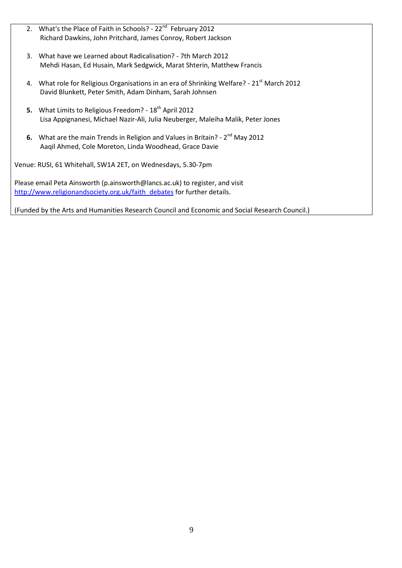- 2. What's the Place of Faith in Schools? 22<sup>nd</sup> February 2012 Richard Dawkins, John Pritchard, James Conroy, Robert Jackson
- 3. What have we Learned about Radicalisation? 7th March 2012 Mehdi Hasan, Ed Husain, Mark Sedgwick, Marat Shterin, Matthew Francis
- 4. What role for Religious Organisations in an era of Shrinking Welfare? 21<sup>st</sup> March 2012 David Blunkett, Peter Smith, Adam Dinham, Sarah Johnsen
- **5.** What Limits to Religious Freedom? 18<sup>th</sup> April 2012 Lisa Appignanesi, Michael Nazir-Ali, Julia Neuberger, Maleiha Malik, Peter Jones
- **6.** What are the main Trends in Religion and Values in Britain? 2<sup>nd</sup> May 2012 Aaqil Ahmed, Cole Moreton, Linda Woodhead, Grace Davie

Venue: RUSI, 61 Whitehall, SW1A 2ET, on Wednesdays, 5.30-7pm

Please email Peta Ainsworth (p.ainsworth@lancs.ac.uk) to register, and visit [http://www.religionandsociety.org.uk/faith\\_debates](https://mail.roehampton.ac.uk/OWA/redir.aspx?C=fe3cc778c43f4565acf0ce8f25cb61ce&URL=http%3a%2f%2fwww.religionandsociety.org.uk%2ffaith_debates) for further details.

(Funded by the Arts and Humanities Research Council and Economic and Social Research Council.)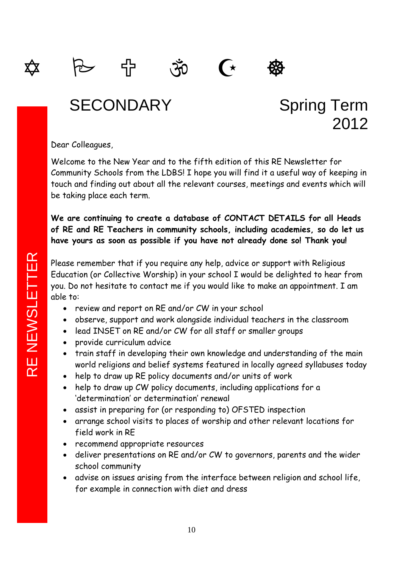

## SECONDARY Spring Term 2012

Dear Colleagues,

Welcome to the New Year and to the fifth edition of this RE Newsletter for Community Schools from the LDBS! I hope you will find it a useful way of keeping in touch and finding out about all the relevant courses, meetings and events which will be taking place each term.

**We are continuing to create a database of CONTACT DETAILS for all Heads of RE and RE Teachers in community schools, including academies, so do let us have yours as soon as possible if you have not already done so! Thank you!**

Please remember that if you require any help, advice or support with Religious Education (or Collective Worship) in your school I would be delighted to hear from you. Do not hesitate to contact me if you would like to make an appointment. I am able to:

- review and report on RE and/or CW in your school
- observe, support and work alongside individual teachers in the classroom
- lead INSET on RE and/or CW for all staff or smaller groups
- provide curriculum advice
- train staff in developing their own knowledge and understanding of the main world religions and belief systems featured in locally agreed syllabuses today
- help to draw up RE policy documents and/or units of work
- help to draw up CW policy documents, including applications for a 'determination' or determination' renewal
- assist in preparing for (or responding to) OFSTED inspection
- arrange school visits to places of worship and other relevant locations for field work in RE
- recommend appropriate resources
- deliver presentations on RE and/or CW to governors, parents and the wider school community
- advise on issues arising from the interface between religion and school life, for example in connection with diet and dress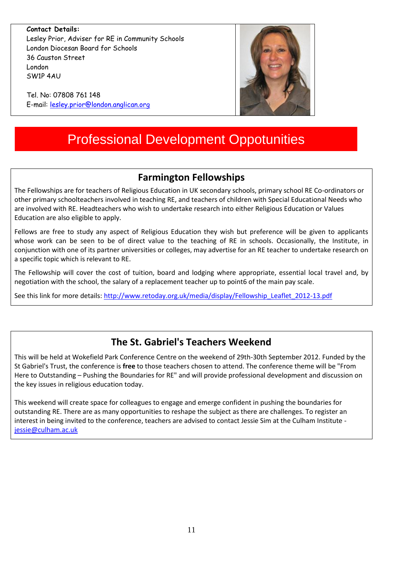**Contact Details:** Lesley Prior, Adviser for RE in Community Schools London Diocesan Board for Schools 36 Causton Street London SW1P 4AU

Tel. No: 07808 761 148 E-mail: [lesley.prior@london.anglican.org](mailto:lesley.prior@london.anglican.org)

## Professional Development Oppotunities

### **Farmington Fellowships**

The Fellowships are for teachers of Religious Education in UK secondary schools, primary school RE Co-ordinators or other primary schoolteachers involved in teaching RE, and teachers of children with Special Educational Needs who are involved with RE. Headteachers who wish to undertake research into either Religious Education or Values Education are also eligible to apply.

Fellows are free to study any aspect of Religious Education they wish but preference will be given to applicants whose work can be seen to be of direct value to the teaching of RE in schools. Occasionally, the Institute, in conjunction with one of its partner universities or colleges, may advertise for an RE teacher to undertake research on a specific topic which is relevant to RE.

The Fellowship will cover the cost of tuition, board and lodging where appropriate, essential local travel and, by negotiation with the school, the salary of a replacement teacher up to point6 of the main pay scale.

See this link for more details[: http://www.retoday.org.uk/media/display/Fellowship\\_Leaflet\\_2012-13.pdf](http://www.retoday.org.uk/media/display/Fellowship_Leaflet_2012-13.pdf)

### **The St. Gabriel's Teachers Weekend**

This will be held at Wokefield Park Conference Centre on the weekend of 29th-30th September 2012. Funded by the St Gabriel's Trust, the conference is **free** to those teachers chosen to attend. The conference theme will be "From Here to Outstanding – Pushing the Boundaries for RE" and will provide professional development and discussion on the key issues in religious education today.

This weekend will create space for colleagues to engage and emerge confident in pushing the boundaries for outstanding RE. There are as many opportunities to reshape the subject as there are challenges. To register an interest in being invited to the conference, teachers are advised to contact Jessie Sim at the Culham Institute [jessie@culham.ac.uk](mailto:jessie@culham.ac.uk)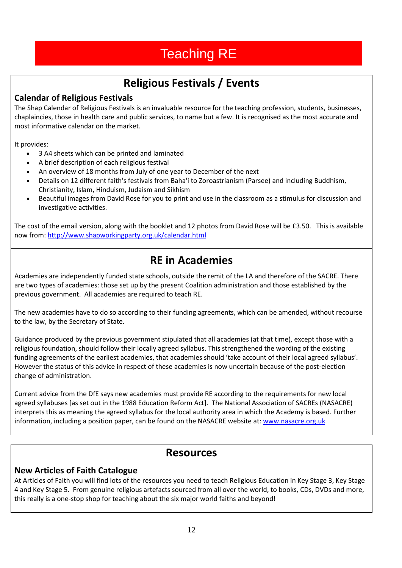## Teaching RE

## **Religious Festivals / Events**

### **Calendar of Religious Festivals**

The Shap Calendar of Religious Festivals is an invaluable resource for the teaching profession, students, businesses, chaplaincies, those in health care and public services, to name but a few. It is recognised as the most accurate and most informative calendar on the market.

It provides:

- 3 A4 sheets which can be printed and laminated
- A brief description of each religious festival
- An overview of 18 months from July of one year to December of the next
- Details on 12 different faith's festivals from Baha'i to Zoroastrianism (Parsee) and including Buddhism, Christianity, Islam, Hinduism, Judaism and Sikhism
- Beautiful images from David Rose for you to print and use in the classroom as a stimulus for discussion and investigative activities.

The cost of the email version, along with the booklet and 12 photos from David Rose will be £3.50. This is available now from[: http://www.shapworkingparty.org.uk/calendar.html](http://www.shapworkingparty.org.uk/calendar.html)

## **RE in Academies**

Academies are independently funded state schools, outside the remit of the LA and therefore of the SACRE. There are two types of academies: those set up by the present Coalition administration and those established by the previous government. All academies are required to teach RE.

The new academies have to do so according to their funding agreements, which can be amended, without recourse to the law, by the Secretary of State.

Guidance produced by the previous government stipulated that all academies (at that time), except those with a religious foundation, should follow their locally agreed syllabus. This strengthened the wording of the existing funding agreements of the earliest academies, that academies should 'take account of their local agreed syllabus'. However the status of this advice in respect of these academies is now uncertain because of the post-election change of administration.

Current advice from the DfE says new academies must provide RE according to the requirements for new local agreed syllabuses [as set out in the 1988 Education Reform Act]. The National Association of SACREs (NASACRE) interprets this as meaning the agreed syllabus for the local authority area in which the Academy is based. Further information, including a position paper, can be found on the NASACRE website at[: www.nasacre.org.uk](http://www.nasacre.org.uk/)

### **Resources**

### **New Articles of Faith Catalogue**

At Articles of Faith you will find lots of the resources you need to teach Religious Education in Key Stage 3, Key Stage 4 and Key Stage 5. From genuine religious artefacts sourced from all over the world, to books, CDs, DVDs and more, this really is a one-stop shop for teaching about the six major world faiths and beyond!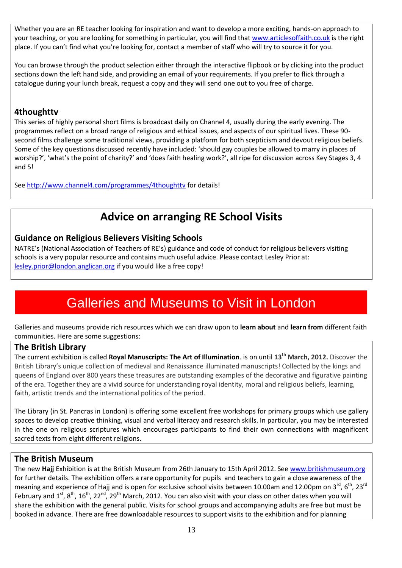Whether you are an RE teacher looking for inspiration and want to develop a more exciting, hands-on approach to your teaching, or you are looking for something in particular, you will find that [www.articlesoffaith.co.uk](http://www.articlesoffaith.co.uk/) is the right place. If you can't find what you're looking for, contact a member of staff who will try to source it for you.

You can browse through the product selection either through the interactive flipbook or by clicking into the product sections down the left hand side, and providing an email of your requirements. If you prefer to flick through a catalogue during your lunch break, request a copy and they will send one out to you free of charge.

### **4thoughttv**

This series of highly personal short films is broadcast daily on Channel 4, usually during the early evening. The programmes reflect on a broad range of religious and ethical issues, and aspects of our spiritual lives. These 90 second films challenge some traditional views, providing a platform for both scepticism and devout religious beliefs. Some of the key questions discussed recently have included: 'should gay couples be allowed to marry in places of worship?', 'what's the point of charity?' and 'does faith healing work?', all ripe for discussion across Key Stages 3, 4 and 5!

See<http://www.channel4.com/programmes/4thoughttv> for details!

## **Advice on arranging RE School Visits**

### **Guidance on Religious Believers Visiting Schools**

NATRE's (National Association of Teachers of RE's) guidance and code of conduct for religious believers visiting schools is a very popular resource and contains much useful advice. Please contact Lesley Prior at: [lesley.prior@london.anglican.org](mailto:lesley.prior@london.anglican.org) if you would like a free copy!

## Galleries and Museums to Visit in London

Galleries and museums provide rich resources which we can draw upon to **learn about** and **learn from** different faith communities. Here are some suggestions:

### **The British Library**

The current exhibition is called **Royal Manuscripts: The Art of Illumination**. is on until **13th March, 2012.** Discover the British Library's unique collection of medieval and Renaissance illuminated manuscripts! Collected by the kings and queens of England over 800 years these treasures are outstanding examples of the decorative and figurative painting of the era. Together they are a vivid source for understanding royal identity, moral and religious beliefs, learning, faith, artistic trends and the international politics of the period.

The Library (in St. Pancras in London) is offering some excellent free workshops for primary groups which use gallery spaces to develop creative thinking, visual and verbal literacy and research skills. In particular, you may be interested in the one on religious scriptures which encourages participants to find their own connections with magnificent sacred texts from eight different religions.

### **The British Museum**

The new **Hajj** Exhibition is at the British Museum from 26th January to 15th April 2012. Se[e www.britishmuseum.org](http://www.britishmuseum.org/) for further details. The exhibition offers a rare opportunity for pupils and teachers to gain a close awareness of the meaning and experience of Hajj and is open for exclusive school visits between 10.00am and 12.00pm on 3<sup>rd</sup>, 6<sup>th</sup>, 23<sup>rd</sup> February and  $1^{st}$ ,  $8^{th}$ ,  $16^{th}$ ,  $22^{nd}$ ,  $29^{th}$  March, 2012. You can also visit with your class on other dates when you will share the exhibition with the general public. Visits for school groups and accompanying adults are free but must be booked in advance. There are free downloadable resources to support visits to the exhibition and for planning